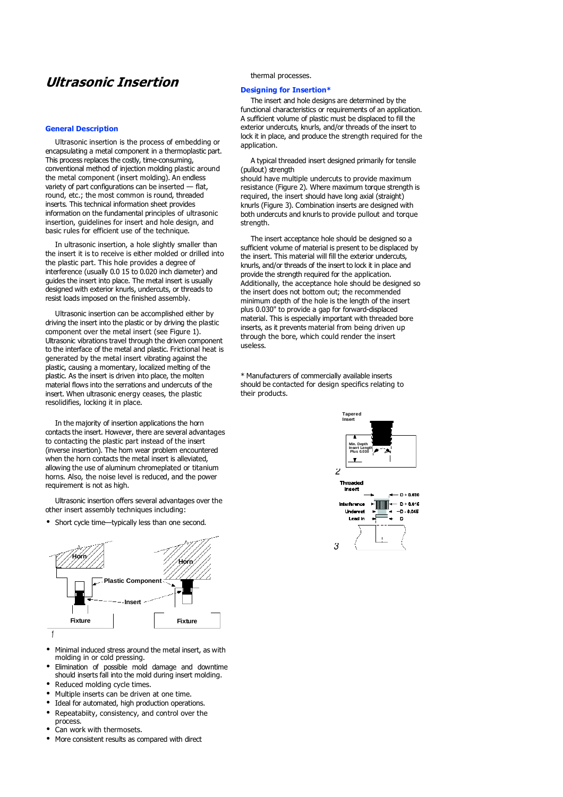# Ultrasonic Insertion

#### General Description

Ultrasonic insertion is the process of embedding or encapsulating a metal component in a thermoplastic part. This process replaces the costly, time-consuming, conventional method of injection molding plastic around the metal component (insert molding). An endless variety of part configurations can be inserted — flat, round, etc.; the most common is round, threaded inserts. This technical information sheet provides information on the fundamental principles of ultrasonic insertion, guidelines for insert and hole design, and basic rules for efficient use of the technique.

In ultrasonic insertion, a hole slightly smaller than the insert it is to receive is either molded or drilled into the plastic part. This hole provides a degree of interference (usually 0.0 15 to 0.020 inch diameter) and guides the insert into place. The metal insert is usually designed with exterior knurls, undercuts, or threads to resist loads imposed on the finished assembly.

Ultrasonic insertion can be accomplished either by driving the insert into the plastic or by driving the plastic component over the metal insert (see Figure 1). Ultrasonic vibrations travel through the driven component to the interface of the metal and plastic. Frictional heat is generated by the metal insert vibrating against the plastic, causing a momentary, localized melting of the plastic. As the insert is driven into place, the molten material flows into the serrations and undercuts of the insert. When ultrasonic energy ceases, the plastic resolidifies, locking it in place.

In the majority of insertion applications the horn contacts the insert. However, there are several advantages to contacting the plastic part instead of the insert (inverse insertion). The horn wear problem encountered when the horn contacts the metal insert is alleviated, allowing the use of aluminum chromeplated or titanium horns. Also, the noise level is reduced, and the power requirement is not as high.

Ultrasonic insertion offers several advantages over the other insert assembly techniques including:

• Short cycle time—typically less than one second.



- Minimal induced stress around the metal insert, as with molding in or cold pressing.
- Elimination of possible mold damage and downtime should inserts fall into the mold during insert molding.
- Reduced molding cycle times.
- Multiple inserts can be driven at one time.
- Ideal for automated, high production operations.
- Repeatabiity, consistency, and control over the process.
- Can work with thermosets.
- More consistent results as compared with direct

thermal processes.

## Designing for Insertion\*

The insert and hole designs are determined by the functional characteristics or requirements of an application. A sufficient volume of plastic must be displaced to fill the exterior undercuts, knurls, and/or threads of the insert to lock it in place, and produce the strength required for the application.

A typical threaded insert designed primarily for tensile (pullout) strength

should have multiple undercuts to provide maximum resistance (Figure 2). Where maximum torque strength is required, the insert should have long axial (straight) knurls (Figure 3). Combination inserts are designed with both undercuts and knurls to provide pullout and torque strength.

The insert acceptance hole should be designed so a sufficient volume of material is present to be displaced by the insert. This material will fill the exterior undercuts, knurls, and/or threads of the insert to lock it in place and provide the strength required for the application. Additionally, the acceptance hole should be designed so the insert does not bottom out; the recommended minimum depth of the hole is the length of the insert plus 0.030" to provide a gap for forward-displaced material. This is especially important with threaded bore inserts, as it prevents material from being driven up through the bore, which could render the insert useless.

\* Manufacturers of commercially available inserts should be contacted for design specifics relating to their products.